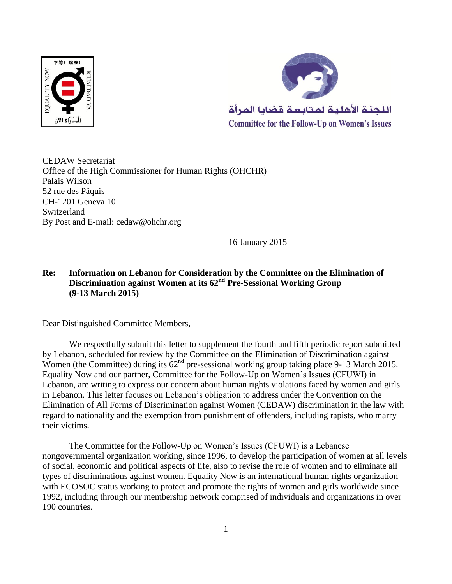



CEDAW Secretariat Office of the High Commissioner for Human Rights (OHCHR) Palais Wilson 52 rue des Pâquis CH-1201 Geneva 10 Switzerland By Post and E-mail: cedaw@ohchr.org

16 January 2015

## **Re: Information on Lebanon for Consideration by the Committee on the Elimination of Discrimination against Women at its 62nd Pre-Sessional Working Group (9-13 March 2015)**

Dear Distinguished Committee Members,

We respectfully submit this letter to supplement the fourth and fifth periodic report submitted by Lebanon, scheduled for review by the Committee on the Elimination of Discrimination against Women (the Committee) during its  $62<sup>nd</sup>$  pre-sessional working group taking place 9-13 March 2015. Equality Now and our partner, Committee for the Follow-Up on Women's Issues (CFUWI) in Lebanon, are writing to express our concern about human rights violations faced by women and girls in Lebanon. This letter focuses on Lebanon's obligation to address under the Convention on the Elimination of All Forms of Discrimination against Women (CEDAW) discrimination in the law with regard to nationality and the exemption from punishment of offenders, including rapists, who marry their victims.

The Committee for the Follow-Up on Women's Issues (CFUWI) is a Lebanese nongovernmental organization working, since 1996, to develop the participation of women at all levels of social, economic and political aspects of life, also to revise the role of women and to eliminate all types of discriminations against women. Equality Now is an international human rights organization with ECOSOC status working to protect and promote the rights of women and girls worldwide since 1992, including through our membership network comprised of individuals and organizations in over 190 countries.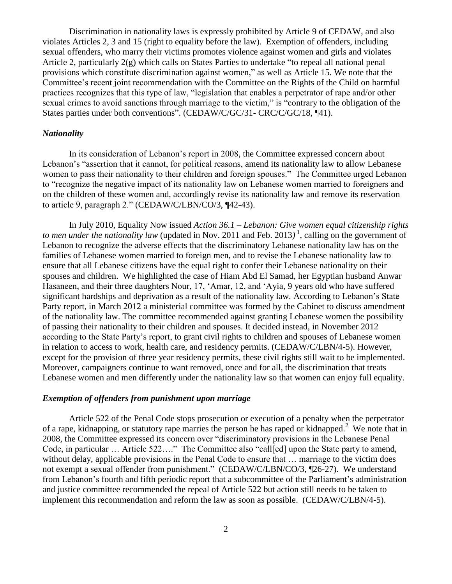Discrimination in nationality laws is expressly prohibited by Article 9 of CEDAW, and also violates Articles 2, 3 and 15 (right to equality before the law). Exemption of offenders, including sexual offenders, who marry their victims promotes violence against women and girls and violates Article 2, particularly 2(g) which calls on States Parties to undertake "to repeal all national penal provisions which constitute discrimination against women," as well as Article 15. We note that the Committee's recent joint recommendation with the Committee on the Rights of the Child on harmful practices recognizes that this type of law, "legislation that enables a perpetrator of rape and/or other sexual crimes to avoid sanctions through marriage to the victim," is "contrary to the obligation of the States parties under both conventions". (CEDAW/C/GC/31- CRC/C/GC/18, ¶41).

## *Nationality*

In its consideration of Lebanon's report in 2008, the Committee expressed concern about Lebanon's "assertion that it cannot, for political reasons, amend its nationality law to allow Lebanese women to pass their nationality to their children and foreign spouses." The Committee urged Lebanon to "recognize the negative impact of its nationality law on Lebanese women married to foreigners and on the children of these women and, accordingly revise its nationality law and remove its reservation to article 9, paragraph 2." (CEDAW/C/LBN/CO/3, ¶42-43).

In July 2010, Equality Now issued *[Action 36.1](http://equalitynow.org/take_action/discrimination_in_law_action361) – Lebanon: Give women equal citizenship rights*  to men under the nationality law (updated in Nov. 2011 and Feb. 2013)<sup>1</sup>, calling on the government of Lebanon to recognize the adverse effects that the discriminatory Lebanese nationality law has on the families of Lebanese women married to foreign men, and to revise the Lebanese nationality law to ensure that all Lebanese citizens have the equal right to confer their Lebanese nationality on their spouses and children. We highlighted the case of Hiam Abd El Samad, her Egyptian husband Anwar Hasaneen, and their three daughters Nour, 17, 'Amar, 12, and 'Ayia, 9 years old who have suffered significant hardships and deprivation as a result of the nationality law. According to Lebanon's State Party report, in March 2012 a ministerial committee was formed by the Cabinet to discuss amendment of the nationality law. The committee recommended against granting Lebanese women the possibility of passing their nationality to their children and spouses. It decided instead, in November 2012 according to the State Party's report, to grant civil rights to children and spouses of Lebanese women in relation to access to work, health care, and residency permits. (CEDAW/C/LBN/4-5). However, except for the provision of three year residency permits, these civil rights still wait to be implemented. Moreover, campaigners continue to want removed, once and for all, the discrimination that treats Lebanese women and men differently under the nationality law so that women can enjoy full equality.

## *Exemption of offenders from punishment upon marriage*

Article 522 of the Penal Code stops prosecution or execution of a penalty when the perpetrator of a rape, kidnapping, or statutory rape marries the person he has raped or kidnapped.<sup>2</sup> We note that in 2008, the Committee expressed its concern over "discriminatory provisions in the Lebanese Penal Code, in particular … Article 522…." The Committee also "call[ed] upon the State party to amend, without delay, applicable provisions in the Penal Code to ensure that ... marriage to the victim does not exempt a sexual offender from punishment." (CEDAW/C/LBN/CO/3, ¶26-27). We understand from Lebanon's fourth and fifth periodic report that a subcommittee of the Parliament's administration and justice committee recommended the repeal of Article 522 but action still needs to be taken to implement this recommendation and reform the law as soon as possible. (CEDAW/C/LBN/4-5).